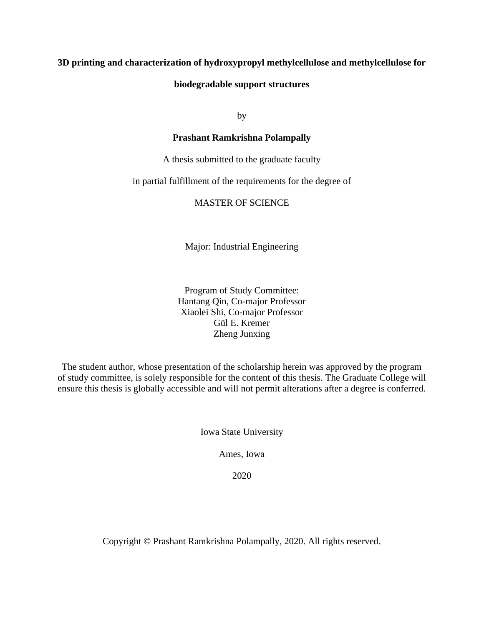# **3D printing and characterization of hydroxypropyl methylcellulose and methylcellulose for**

# **biodegradable support structures**

by

# **Prashant Ramkrishna Polampally**

A thesis submitted to the graduate faculty

# in partial fulfillment of the requirements for the degree of

# MASTER OF SCIENCE

Major: Industrial Engineering

Program of Study Committee: Hantang Qin, Co-major Professor Xiaolei Shi, Co-major Professor Gül E. Kremer Zheng Junxing

The student author, whose presentation of the scholarship herein was approved by the program of study committee, is solely responsible for the content of this thesis. The Graduate College will ensure this thesis is globally accessible and will not permit alterations after a degree is conferred.

Iowa State University

Ames, Iowa

2020

Copyright © Prashant Ramkrishna Polampally, 2020. All rights reserved.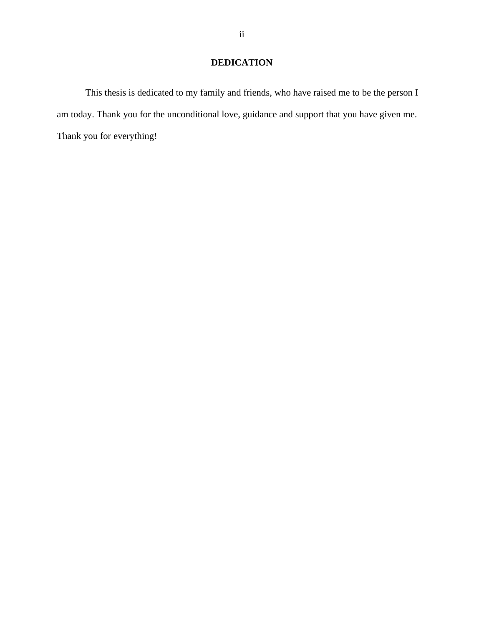# **DEDICATION**

This thesis is dedicated to my family and friends, who have raised me to be the person I am today. Thank you for the unconditional love, guidance and support that you have given me. Thank you for everything!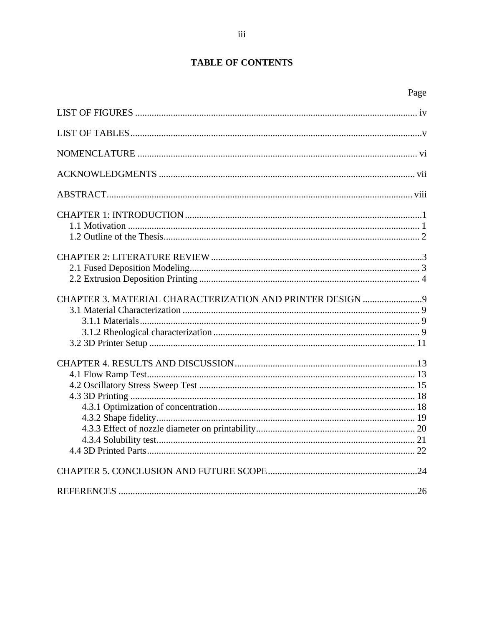# **TABLE OF CONTENTS**

| CHAPTER 3. MATERIAL CHARACTERIZATION AND PRINTER DESIGN 9 |  |
|-----------------------------------------------------------|--|
|                                                           |  |
|                                                           |  |
|                                                           |  |
|                                                           |  |
|                                                           |  |
|                                                           |  |
|                                                           |  |
|                                                           |  |
|                                                           |  |
|                                                           |  |
|                                                           |  |
|                                                           |  |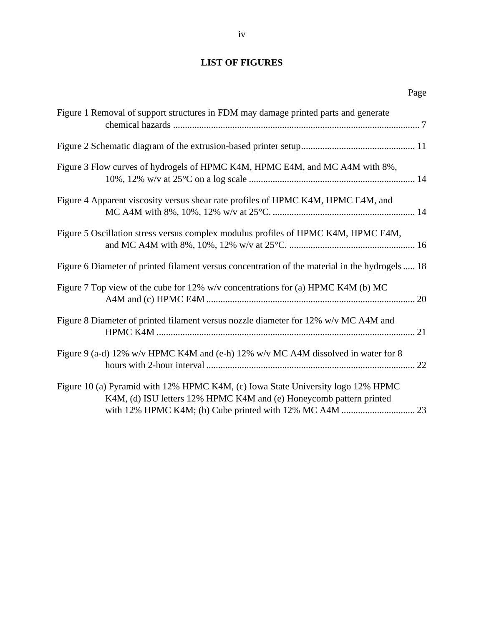# <span id="page-3-0"></span>**LIST OF FIGURES**

| Figure 1 Removal of support structures in FDM may damage printed parts and generate                                                                     |
|---------------------------------------------------------------------------------------------------------------------------------------------------------|
|                                                                                                                                                         |
| Figure 3 Flow curves of hydrogels of HPMC K4M, HPMC E4M, and MC A4M with 8%,                                                                            |
| Figure 4 Apparent viscosity versus shear rate profiles of HPMC K4M, HPMC E4M, and                                                                       |
| Figure 5 Oscillation stress versus complex modulus profiles of HPMC K4M, HPMC E4M,                                                                      |
| Figure 6 Diameter of printed filament versus concentration of the material in the hydrogels  18                                                         |
| Figure 7 Top view of the cube for 12% w/v concentrations for (a) HPMC K4M (b) MC                                                                        |
| Figure 8 Diameter of printed filament versus nozzle diameter for 12% w/v MC A4M and                                                                     |
| Figure 9 (a-d) 12% w/v HPMC K4M and (e-h) 12% w/v MC A4M dissolved in water for 8                                                                       |
| Figure 10 (a) Pyramid with 12% HPMC K4M, (c) Iowa State University logo 12% HPMC<br>K4M, (d) ISU letters 12% HPMC K4M and (e) Honeycomb pattern printed |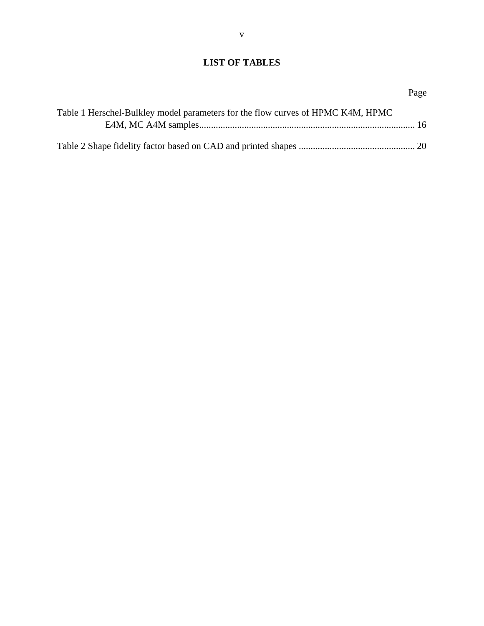# <span id="page-4-0"></span>**LIST OF TABLES**

# Page

| Table 1 Herschel-Bulkley model parameters for the flow curves of HPMC K4M, HPMC |  |
|---------------------------------------------------------------------------------|--|
|                                                                                 |  |
|                                                                                 |  |
|                                                                                 |  |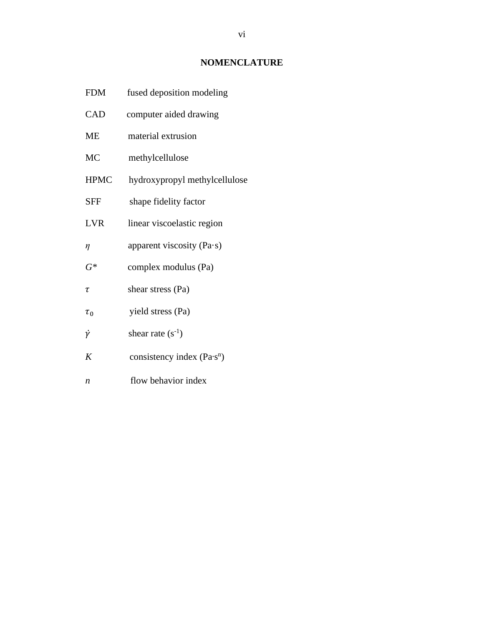# **NOMENCLATURE**

- <span id="page-5-0"></span>FDM fused deposition modeling
- CAD computer aided drawing
- ME material extrusion
- MC methylcellulose
- HPMC hydroxypropyl methylcellulose
- SFF shape fidelity factor
- LVR linear viscoelastic region
- $\eta$  apparent viscosity (Pa·s)
- *G\** complex modulus (Pa)
- $\tau$  shear stress (Pa)
- $\tau_0$  yield stress (Pa)
- $\dot{\gamma}$  shear rate (s<sup>-1</sup>)
- *K* consistency index  $(Pa \cdot s^n)$
- *n* flow behavior index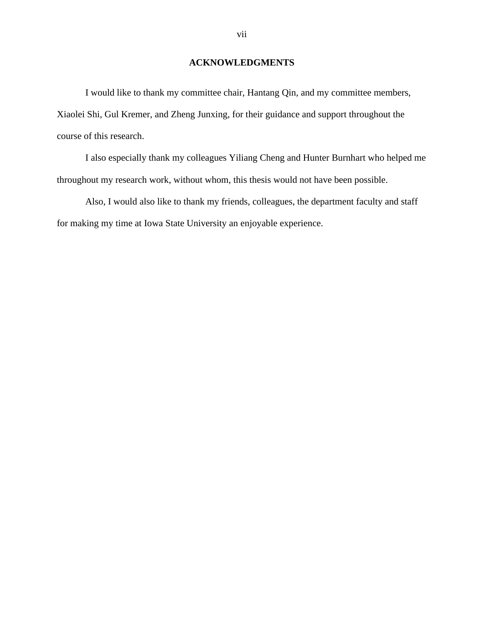# **ACKNOWLEDGMENTS**

<span id="page-6-0"></span>I would like to thank my committee chair, Hantang Qin, and my committee members, Xiaolei Shi, Gul Kremer, and Zheng Junxing, for their guidance and support throughout the course of this research.

I also especially thank my colleagues Yiliang Cheng and Hunter Burnhart who helped me throughout my research work, without whom, this thesis would not have been possible.

Also, I would also like to thank my friends, colleagues, the department faculty and staff for making my time at Iowa State University an enjoyable experience.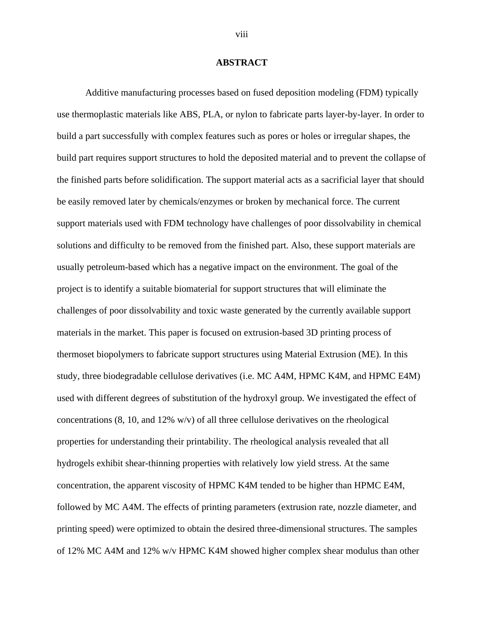#### **ABSTRACT**

<span id="page-7-0"></span>Additive manufacturing processes based on fused deposition modeling (FDM) typically use thermoplastic materials like ABS, PLA, or nylon to fabricate parts layer-by-layer. In order to build a part successfully with complex features such as pores or holes or irregular shapes, the build part requires support structures to hold the deposited material and to prevent the collapse of the finished parts before solidification. The support material acts as a sacrificial layer that should be easily removed later by chemicals/enzymes or broken by mechanical force. The current support materials used with FDM technology have challenges of poor dissolvability in chemical solutions and difficulty to be removed from the finished part. Also, these support materials are usually petroleum-based which has a negative impact on the environment. The goal of the project is to identify a suitable biomaterial for support structures that will eliminate the challenges of poor dissolvability and toxic waste generated by the currently available support materials in the market. This paper is focused on extrusion-based 3D printing process of thermoset biopolymers to fabricate support structures using Material Extrusion (ME). In this study, three biodegradable cellulose derivatives (i.e. MC A4M, HPMC K4M, and HPMC E4M) used with different degrees of substitution of the hydroxyl group. We investigated the effect of concentrations  $(8, 10, \text{ and } 12\% \text{ w/v})$  of all three cellulose derivatives on the rheological properties for understanding their printability. The rheological analysis revealed that all hydrogels exhibit shear-thinning properties with relatively low yield stress. At the same concentration, the apparent viscosity of HPMC K4M tended to be higher than HPMC E4M, followed by MC A4M. The effects of printing parameters (extrusion rate, nozzle diameter, and printing speed) were optimized to obtain the desired three-dimensional structures. The samples of 12% MC A4M and 12% w/v HPMC K4M showed higher complex shear modulus than other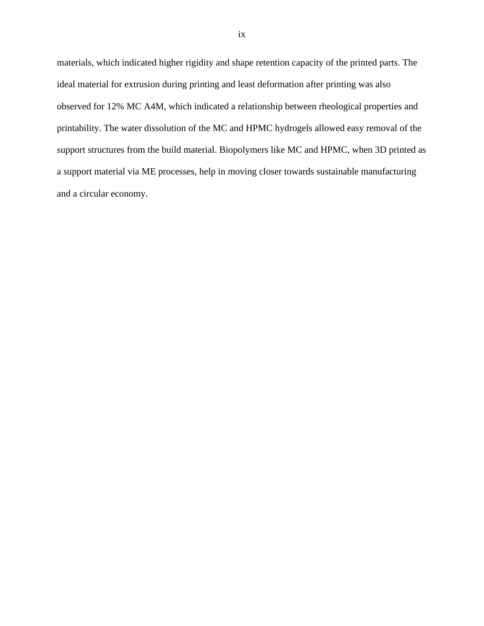materials, which indicated higher rigidity and shape retention capacity of the printed parts. The ideal material for extrusion during printing and least deformation after printing was also observed for 12% MC A4M, which indicated a relationship between rheological properties and printability. The water dissolution of the MC and HPMC hydrogels allowed easy removal of the support structures from the build material. Biopolymers like MC and HPMC, when 3D printed as a support material via ME processes, help in moving closer towards sustainable manufacturing and a circular economy.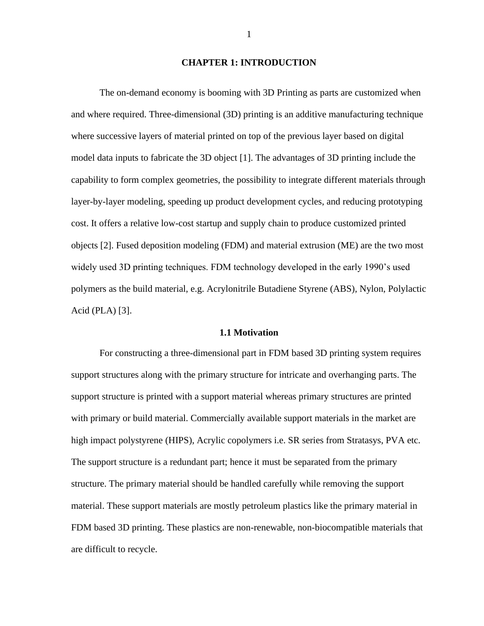### **CHAPTER 1: INTRODUCTION**

<span id="page-9-0"></span>The on-demand economy is booming with 3D Printing as parts are customized when and where required. Three-dimensional (3D) printing is an additive manufacturing technique where successive layers of material printed on top of the previous layer based on digital model data inputs to fabricate the 3D object [1]. The advantages of 3D printing include the capability to form complex geometries, the possibility to integrate different materials through layer-by-layer modeling, speeding up product development cycles, and reducing prototyping cost. It offers a relative low-cost startup and supply chain to produce customized printed objects [2]. Fused deposition modeling (FDM) and material extrusion (ME) are the two most widely used 3D printing techniques. FDM technology developed in the early 1990's used polymers as the build material, e.g. Acrylonitrile Butadiene Styrene (ABS), Nylon, Polylactic Acid (PLA) [3].

#### **1.1 Motivation**

<span id="page-9-1"></span>For constructing a three-dimensional part in FDM based 3D printing system requires support structures along with the primary structure for intricate and overhanging parts. The support structure is printed with a support material whereas primary structures are printed with primary or build material. Commercially available support materials in the market are high impact polystyrene (HIPS), Acrylic copolymers i.e. SR series from Stratasys, PVA etc. The support structure is a redundant part; hence it must be separated from the primary structure. The primary material should be handled carefully while removing the support material. These support materials are mostly petroleum plastics like the primary material in FDM based 3D printing. These plastics are non-renewable, non-biocompatible materials that are difficult to recycle.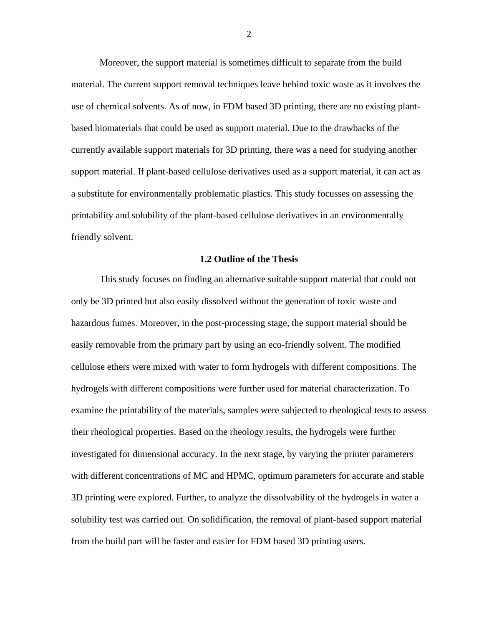Moreover, the support material is sometimes difficult to separate from the build material. The current support removal techniques leave behind toxic waste as it involves the use of chemical solvents. As of now, in FDM based 3D printing, there are no existing plantbased biomaterials that could be used as support material. Due to the drawbacks of the currently available support materials for 3D printing, there was a need for studying another support material. If plant-based cellulose derivatives used as a support material, it can act as a substitute for environmentally problematic plastics. This study focusses on assessing the printability and solubility of the plant-based cellulose derivatives in an environmentally friendly solvent.

# **1.2 Outline of the Thesis**

<span id="page-10-0"></span>This study focuses on finding an alternative suitable support material that could not only be 3D printed but also easily dissolved without the generation of toxic waste and hazardous fumes. Moreover, in the post-processing stage, the support material should be easily removable from the primary part by using an eco-friendly solvent. The modified cellulose ethers were mixed with water to form hydrogels with different compositions. The hydrogels with different compositions were further used for material characterization. To examine the printability of the materials, samples were subjected to rheological tests to assess their rheological properties. Based on the rheology results, the hydrogels were further investigated for dimensional accuracy. In the next stage, by varying the printer parameters with different concentrations of MC and HPMC, optimum parameters for accurate and stable 3D printing were explored. Further, to analyze the dissolvability of the hydrogels in water a solubility test was carried out. On solidification, the removal of plant-based support material from the build part will be faster and easier for FDM based 3D printing users.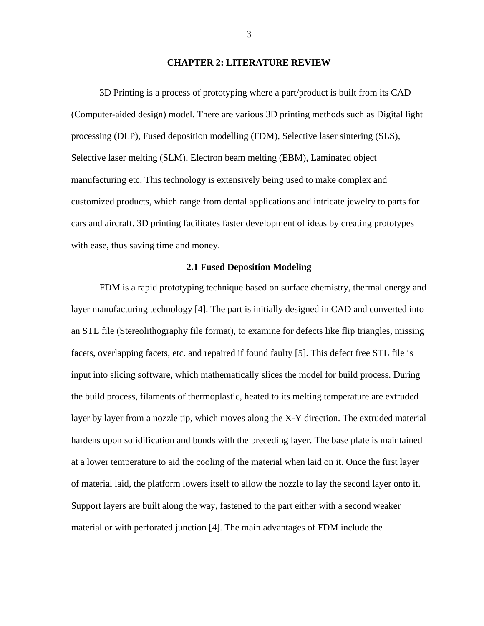#### **CHAPTER 2: LITERATURE REVIEW**

<span id="page-11-0"></span>3D Printing is a process of prototyping where a part/product is built from its CAD (Computer-aided design) model. There are various 3D printing methods such as Digital light processing (DLP), Fused deposition modelling (FDM), Selective laser sintering (SLS), Selective laser melting (SLM), Electron beam melting (EBM), Laminated object manufacturing etc. This technology is extensively being used to make complex and customized products, which range from dental applications and intricate jewelry to parts for cars and aircraft. 3D printing facilitates faster development of ideas by creating prototypes with ease, thus saving time and money.

### **2.1 Fused Deposition Modeling**

<span id="page-11-1"></span>FDM is a rapid prototyping technique based on surface chemistry, thermal energy and layer manufacturing technology [4]. The part is initially designed in CAD and converted into an STL file (Stereolithography file format), to examine for defects like flip triangles, missing facets, overlapping facets, etc. and repaired if found faulty [5]. This defect free STL file is input into slicing software, which mathematically slices the model for build process. During the build process, filaments of thermoplastic, heated to its melting temperature are extruded layer by layer from a nozzle tip, which moves along the X-Y direction. The extruded material hardens upon solidification and bonds with the preceding layer. The base plate is maintained at a lower temperature to aid the cooling of the material when laid on it. Once the first layer of material laid, the platform lowers itself to allow the nozzle to lay the second layer onto it. Support layers are built along the way, fastened to the part either with a second weaker material or with perforated junction [4]. The main advantages of FDM include the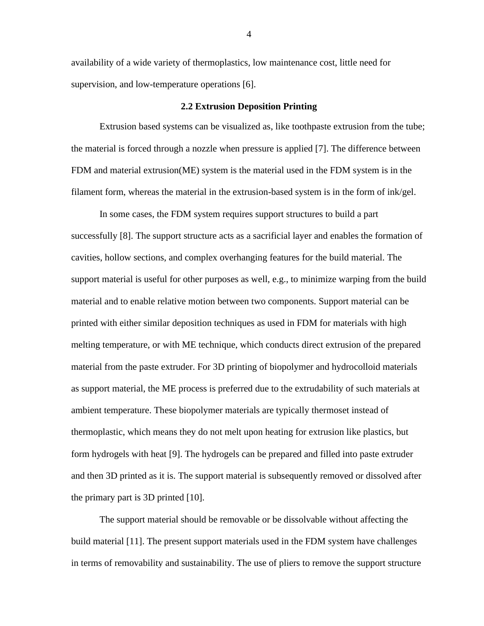availability of a wide variety of thermoplastics, low maintenance cost, little need for supervision, and low-temperature operations [6].

#### **2.2 Extrusion Deposition Printing**

<span id="page-12-0"></span>Extrusion based systems can be visualized as, like toothpaste extrusion from the tube; the material is forced through a nozzle when pressure is applied [7]. The difference between FDM and material extrusion(ME) system is the material used in the FDM system is in the filament form, whereas the material in the extrusion-based system is in the form of ink/gel.

In some cases, the FDM system requires support structures to build a part successfully [8]. The support structure acts as a sacrificial layer and enables the formation of cavities, hollow sections, and complex overhanging features for the build material. The support material is useful for other purposes as well, e.g., to minimize warping from the build material and to enable relative motion between two components. Support material can be printed with either similar deposition techniques as used in FDM for materials with high melting temperature, or with ME technique, which conducts direct extrusion of the prepared material from the paste extruder. For 3D printing of biopolymer and hydrocolloid materials as support material, the ME process is preferred due to the extrudability of such materials at ambient temperature. These biopolymer materials are typically thermoset instead of thermoplastic, which means they do not melt upon heating for extrusion like plastics, but form hydrogels with heat [9]. The hydrogels can be prepared and filled into paste extruder and then 3D printed as it is. The support material is subsequently removed or dissolved after the primary part is 3D printed [10].

The support material should be removable or be dissolvable without affecting the build material [11]. The present support materials used in the FDM system have challenges in terms of removability and sustainability. The use of pliers to remove the support structure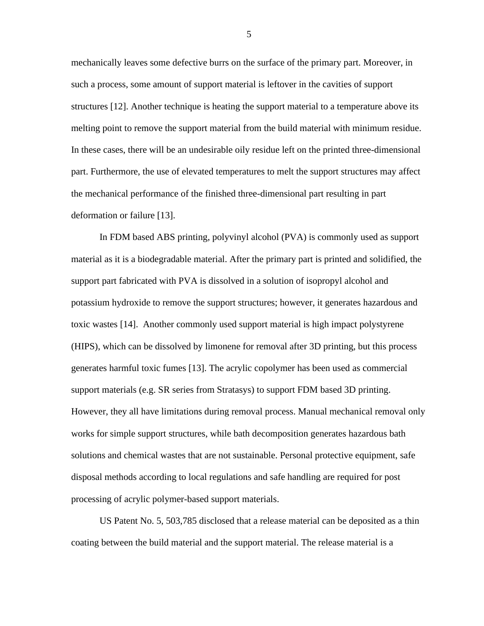mechanically leaves some defective burrs on the surface of the primary part. Moreover, in such a process, some amount of support material is leftover in the cavities of support structures [12]. Another technique is heating the support material to a temperature above its melting point to remove the support material from the build material with minimum residue. In these cases, there will be an undesirable oily residue left on the printed three-dimensional part. Furthermore, the use of elevated temperatures to melt the support structures may affect the mechanical performance of the finished three-dimensional part resulting in part deformation or failure [13].

In FDM based ABS printing, polyvinyl alcohol (PVA) is commonly used as support material as it is a biodegradable material. After the primary part is printed and solidified, the support part fabricated with PVA is dissolved in a solution of isopropyl alcohol and potassium hydroxide to remove the support structures; however, it generates hazardous and toxic wastes [14]. Another commonly used support material is high impact polystyrene (HIPS), which can be dissolved by limonene for removal after 3D printing, but this process generates harmful toxic fumes [13]. The acrylic copolymer has been used as commercial support materials (e.g. SR series from Stratasys) to support FDM based 3D printing. However, they all have limitations during removal process. Manual mechanical removal only works for simple support structures, while bath decomposition generates hazardous bath solutions and chemical wastes that are not sustainable. Personal protective equipment, safe disposal methods according to local regulations and safe handling are required for post processing of acrylic polymer-based support materials.

US Patent No. 5, 503,785 disclosed that a release material can be deposited as a thin coating between the build material and the support material. The release material is a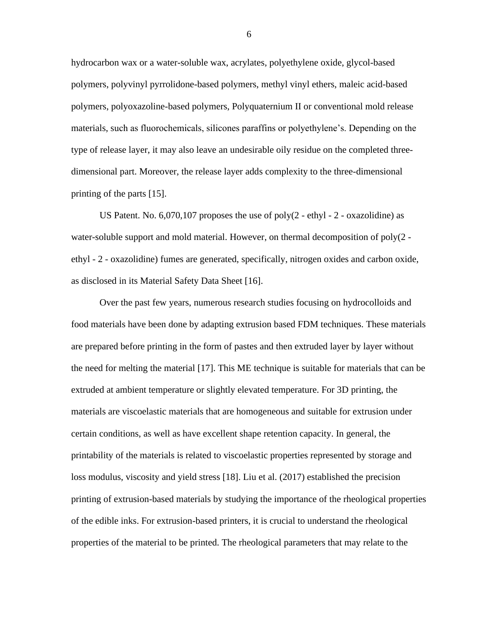hydrocarbon wax or a water-soluble wax, acrylates, polyethylene oxide, glycol-based polymers, polyvinyl pyrrolidone-based polymers, methyl vinyl ethers, maleic acid-based polymers, polyoxazoline-based polymers, Polyquaternium II or conventional mold release materials, such as fluorochemicals, silicones paraffins or polyethylene's. Depending on the type of release layer, it may also leave an undesirable oily residue on the completed threedimensional part. Moreover, the release layer adds complexity to the three-dimensional printing of the parts [15].

US Patent. No.  $6,070,107$  proposes the use of poly(2 - ethyl - 2 - oxazolidine) as water-soluble support and mold material. However, on thermal decomposition of poly(2 ethyl - 2 - oxazolidine) fumes are generated, specifically, nitrogen oxides and carbon oxide, as disclosed in its Material Safety Data Sheet [16].

Over the past few years, numerous research studies focusing on hydrocolloids and food materials have been done by adapting extrusion based FDM techniques. These materials are prepared before printing in the form of pastes and then extruded layer by layer without the need for melting the material [17]. This ME technique is suitable for materials that can be extruded at ambient temperature or slightly elevated temperature. For 3D printing, the materials are viscoelastic materials that are homogeneous and suitable for extrusion under certain conditions, as well as have excellent shape retention capacity. In general, the printability of the materials is related to viscoelastic properties represented by storage and loss modulus, viscosity and yield stress [18]. Liu et al. (2017) established the precision printing of extrusion-based materials by studying the importance of the rheological properties of the edible inks. For extrusion-based printers, it is crucial to understand the rheological properties of the material to be printed. The rheological parameters that may relate to the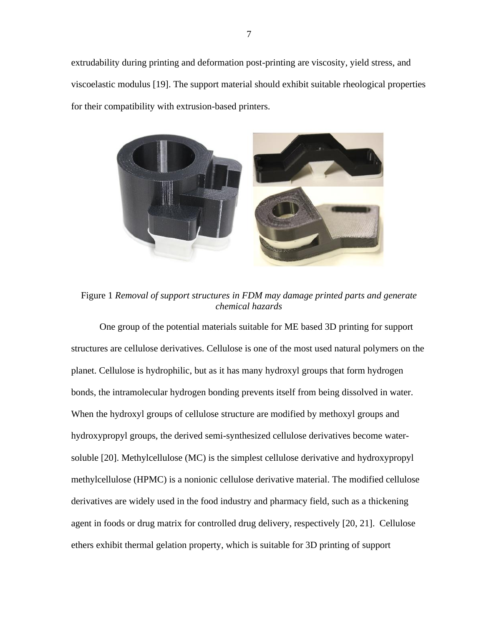extrudability during printing and deformation post-printing are viscosity, yield stress, and viscoelastic modulus [19]. The support material should exhibit suitable rheological properties for their compatibility with extrusion-based printers.



Figure 1 *Removal of support structures in FDM may damage printed parts and generate chemical hazards*

<span id="page-15-0"></span>One group of the potential materials suitable for ME based 3D printing for support structures are cellulose derivatives. Cellulose is one of the most used natural polymers on the planet. Cellulose is hydrophilic, but as it has many hydroxyl groups that form hydrogen bonds, the intramolecular hydrogen bonding prevents itself from being dissolved in water. When the hydroxyl groups of cellulose structure are modified by methoxyl groups and hydroxypropyl groups, the derived semi-synthesized cellulose derivatives become watersoluble [20]. Methylcellulose (MC) is the simplest cellulose derivative and hydroxypropyl methylcellulose (HPMC) is a nonionic cellulose derivative material. The modified cellulose derivatives are widely used in the food industry and pharmacy field, such as a thickening agent in foods or drug matrix for controlled drug delivery, respectively [20, 21]. Cellulose ethers exhibit thermal gelation property, which is suitable for 3D printing of support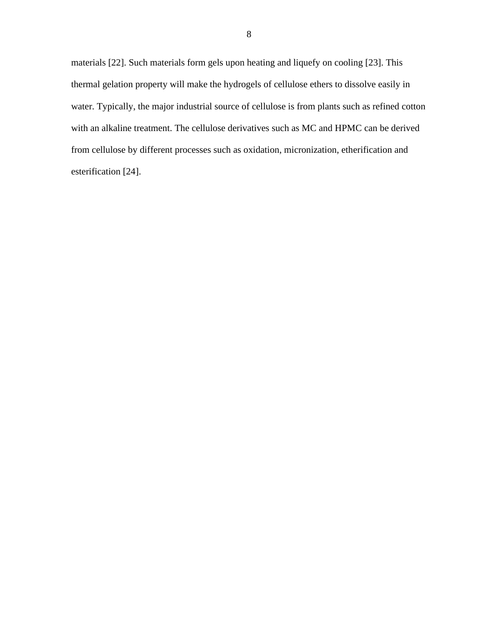materials [22]. Such materials form gels upon heating and liquefy on cooling [23]. This thermal gelation property will make the hydrogels of cellulose ethers to dissolve easily in water. Typically, the major industrial source of cellulose is from plants such as refined cotton with an alkaline treatment. The cellulose derivatives such as MC and HPMC can be derived from cellulose by different processes such as oxidation, micronization, etherification and esterification [24].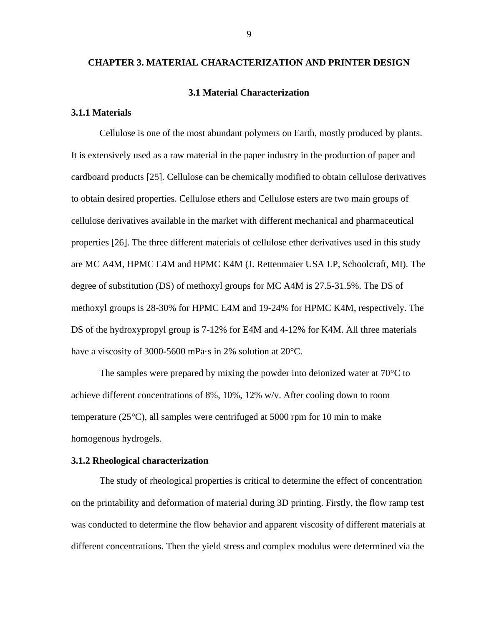## <span id="page-17-0"></span>**CHAPTER 3. MATERIAL CHARACTERIZATION AND PRINTER DESIGN**

#### **3.1 Material Characterization**

#### <span id="page-17-2"></span><span id="page-17-1"></span>**3.1.1 Materials**

Cellulose is one of the most abundant polymers on Earth, mostly produced by plants. It is extensively used as a raw material in the paper industry in the production of paper and cardboard products [25]. Cellulose can be chemically modified to obtain cellulose derivatives to obtain desired properties. Cellulose ethers and Cellulose esters are two main groups of cellulose derivatives available in the market with different mechanical and pharmaceutical properties [26]. The three different materials of cellulose ether derivatives used in this study are MC A4M, HPMC E4M and HPMC K4M (J. Rettenmaier USA LP, Schoolcraft, MI). The degree of substitution (DS) of methoxyl groups for MC A4M is 27.5-31.5%. The DS of methoxyl groups is 28-30% for HPMC E4M and 19-24% for HPMC K4M, respectively. The DS of the hydroxypropyl group is 7-12% for E4M and 4-12% for K4M. All three materials have a viscosity of 3000-5600 mPa·s in 2% solution at 20°C.

The samples were prepared by mixing the powder into deionized water at 70°C to achieve different concentrations of 8%, 10%, 12% w/v. After cooling down to room temperature (25°C), all samples were centrifuged at 5000 rpm for 10 min to make homogenous hydrogels.

## <span id="page-17-3"></span>**3.1.2 Rheological characterization**

The study of rheological properties is critical to determine the effect of concentration on the printability and deformation of material during 3D printing. Firstly, the flow ramp test was conducted to determine the flow behavior and apparent viscosity of different materials at different concentrations. Then the yield stress and complex modulus were determined via the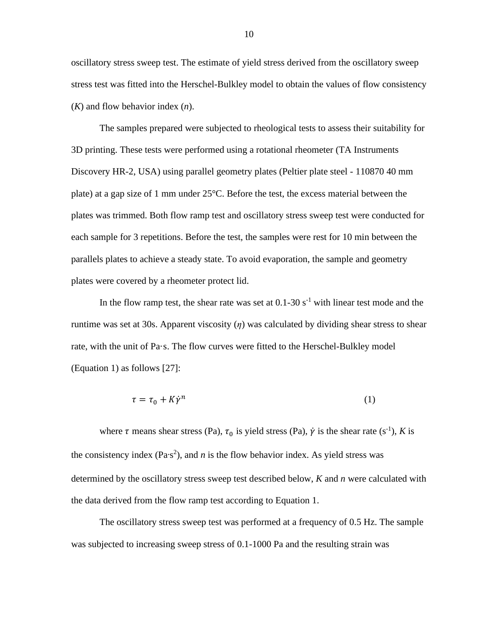oscillatory stress sweep test. The estimate of yield stress derived from the oscillatory sweep stress test was fitted into the Herschel-Bulkley model to obtain the values of flow consistency (*K*) and flow behavior index (*n*).

The samples prepared were subjected to rheological tests to assess their suitability for 3D printing. These tests were performed using a rotational rheometer (TA Instruments Discovery HR-2, USA) using parallel geometry plates (Peltier plate steel - 110870 40 mm plate) at a gap size of 1 mm under 25°C. Before the test, the excess material between the plates was trimmed. Both flow ramp test and oscillatory stress sweep test were conducted for each sample for 3 repetitions. Before the test, the samples were rest for 10 min between the parallels plates to achieve a steady state. To avoid evaporation, the sample and geometry plates were covered by a rheometer protect lid.

In the flow ramp test, the shear rate was set at  $0.1$ -30 s<sup>-1</sup> with linear test mode and the runtime was set at 30s. Apparent viscosity  $(\eta)$  was calculated by dividing shear stress to shear rate, with the unit of Pa·s. The flow curves were fitted to the Herschel-Bulkley model (Equation 1) as follows [27]:

$$
\tau = \tau_0 + K \dot{\gamma}^n \tag{1}
$$

where  $\tau$  means shear stress (Pa),  $\tau_0$  is yield stress (Pa),  $\dot{\gamma}$  is the shear rate (s<sup>-1</sup>), *K* is the consistency index ( $Pa$ <sup>s2</sup>), and *n* is the flow behavior index. As yield stress was determined by the oscillatory stress sweep test described below, *K* and *n* were calculated with the data derived from the flow ramp test according to Equation 1.

The oscillatory stress sweep test was performed at a frequency of 0.5 Hz. The sample was subjected to increasing sweep stress of 0.1-1000 Pa and the resulting strain was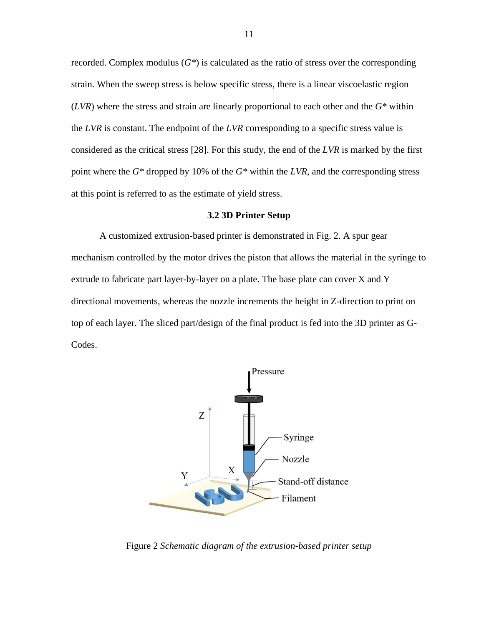recorded. Complex modulus (*G\**) is calculated as the ratio of stress over the corresponding strain. When the sweep stress is below specific stress, there is a linear viscoelastic region (*LVR*) where the stress and strain are linearly proportional to each other and the *G\** within the *LVR* is constant. The endpoint of the *LVR* corresponding to a specific stress value is considered as the critical stress [28]. For this study, the end of the *LVR* is marked by the first point where the *G\** dropped by 10% of the *G\** within the *LVR*, and the corresponding stress at this point is referred to as the estimate of yield stress.

#### **3.2 3D Printer Setup**

<span id="page-19-0"></span>A customized extrusion-based printer is demonstrated in Fig. 2. A spur gear mechanism controlled by the motor drives the piston that allows the material in the syringe to extrude to fabricate part layer-by-layer on a plate. The base plate can cover X and Y directional movements, whereas the nozzle increments the height in Z-direction to print on top of each layer. The sliced part/design of the final product is fed into the 3D printer as G-Codes.



<span id="page-19-1"></span>Figure 2 *Schematic diagram of the extrusion-based printer setup*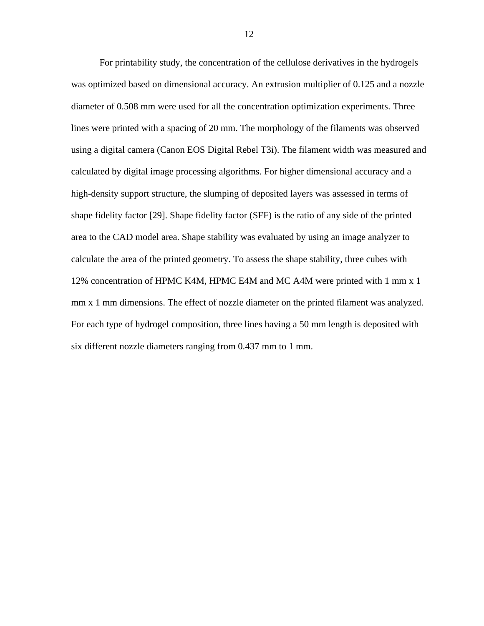For printability study, the concentration of the cellulose derivatives in the hydrogels was optimized based on dimensional accuracy. An extrusion multiplier of 0.125 and a nozzle diameter of 0.508 mm were used for all the concentration optimization experiments. Three lines were printed with a spacing of 20 mm. The morphology of the filaments was observed using a digital camera (Canon EOS Digital Rebel T3i). The filament width was measured and calculated by digital image processing algorithms. For higher dimensional accuracy and a high-density support structure, the slumping of deposited layers was assessed in terms of shape fidelity factor [29]. Shape fidelity factor (SFF) is the ratio of any side of the printed area to the CAD model area. Shape stability was evaluated by using an image analyzer to calculate the area of the printed geometry. To assess the shape stability, three cubes with 12% concentration of HPMC K4M, HPMC E4M and MC A4M were printed with 1 mm x 1 mm x 1 mm dimensions. The effect of nozzle diameter on the printed filament was analyzed. For each type of hydrogel composition, three lines having a 50 mm length is deposited with six different nozzle diameters ranging from 0.437 mm to 1 mm.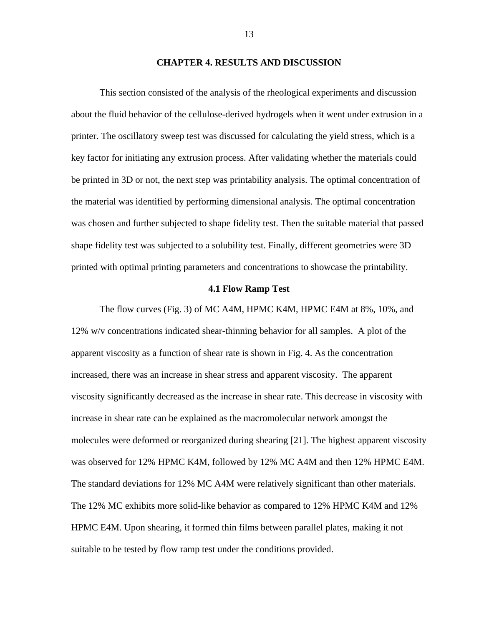#### **CHAPTER 4. RESULTS AND DISCUSSION**

<span id="page-21-0"></span>This section consisted of the analysis of the rheological experiments and discussion about the fluid behavior of the cellulose-derived hydrogels when it went under extrusion in a printer. The oscillatory sweep test was discussed for calculating the yield stress, which is a key factor for initiating any extrusion process. After validating whether the materials could be printed in 3D or not, the next step was printability analysis. The optimal concentration of the material was identified by performing dimensional analysis. The optimal concentration was chosen and further subjected to shape fidelity test. Then the suitable material that passed shape fidelity test was subjected to a solubility test. Finally, different geometries were 3D printed with optimal printing parameters and concentrations to showcase the printability.

#### **4.1 Flow Ramp Test**

<span id="page-21-1"></span>The flow curves (Fig. 3) of MC A4M, HPMC K4M, HPMC E4M at 8%, 10%, and 12% w/v concentrations indicated shear-thinning behavior for all samples. A plot of the apparent viscosity as a function of shear rate is shown in Fig. 4. As the concentration increased, there was an increase in shear stress and apparent viscosity. The apparent viscosity significantly decreased as the increase in shear rate. This decrease in viscosity with increase in shear rate can be explained as the macromolecular network amongst the molecules were deformed or reorganized during shearing [21]. The highest apparent viscosity was observed for 12% HPMC K4M, followed by 12% MC A4M and then 12% HPMC E4M. The standard deviations for 12% MC A4M were relatively significant than other materials. The 12% MC exhibits more solid-like behavior as compared to 12% HPMC K4M and 12% HPMC E4M. Upon shearing, it formed thin films between parallel plates, making it not suitable to be tested by flow ramp test under the conditions provided.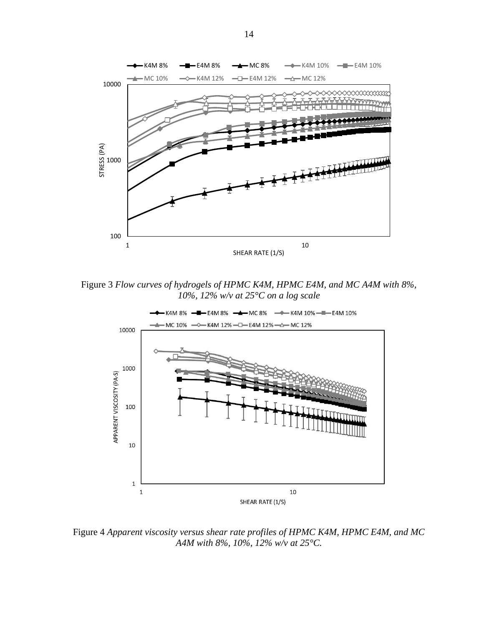

<span id="page-22-0"></span>Figure 3 *Flow curves of hydrogels of HPMC K4M, HPMC E4M, and MC A4M with 8%, 10%, 12% w/v at 25°C on a log scale*



<span id="page-22-1"></span>Figure 4 *Apparent viscosity versus shear rate profiles of HPMC K4M, HPMC E4M, and MC A4M with 8%, 10%, 12% w/v at 25°C.*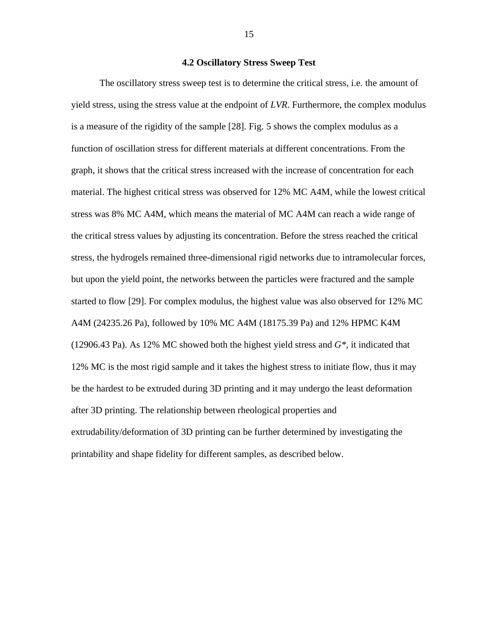# **4.2 Oscillatory Stress Sweep Test**

<span id="page-23-0"></span>The oscillatory stress sweep test is to determine the critical stress, i.e. the amount of yield stress, using the stress value at the endpoint of *LVR*. Furthermore, the complex modulus is a measure of the rigidity of the sample [28]. Fig. 5 shows the complex modulus as a function of oscillation stress for different materials at different concentrations. From the graph, it shows that the critical stress increased with the increase of concentration for each material. The highest critical stress was observed for 12% MC A4M, while the lowest critical stress was 8% MC A4M, which means the material of MC A4M can reach a wide range of the critical stress values by adjusting its concentration. Before the stress reached the critical stress, the hydrogels remained three-dimensional rigid networks due to intramolecular forces, but upon the yield point, the networks between the particles were fractured and the sample started to flow [29]. For complex modulus, the highest value was also observed for 12% MC A4M (24235.26 Pa), followed by 10% MC A4M (18175.39 Pa) and 12% HPMC K4M (12906.43 Pa). As 12% MC showed both the highest yield stress and *G\**, it indicated that 12% MC is the most rigid sample and it takes the highest stress to initiate flow, thus it may be the hardest to be extruded during 3D printing and it may undergo the least deformation after 3D printing. The relationship between rheological properties and extrudability/deformation of 3D printing can be further determined by investigating the printability and shape fidelity for different samples, as described below.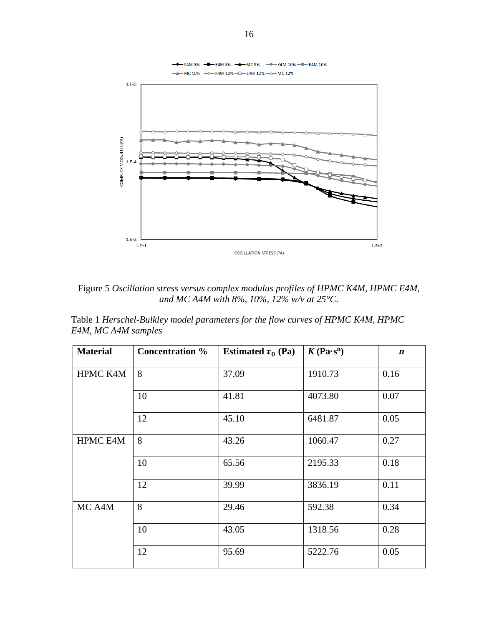

<span id="page-24-0"></span>Figure 5 *Oscillation stress versus complex modulus profiles of HPMC K4M, HPMC E4M, and MC A4M with 8%, 10%, 12% w/v at 25°C.*

<span id="page-24-1"></span>Table 1 *Herschel-Bulkley model parameters for the flow curves of HPMC K4M, HPMC E4M, MC A4M samples*

| <b>Material</b> | <b>Concentration</b> % | Estimated $\tau_0$ (Pa) | $K(\text{Pa}\cdot\text{s}^n)$ | $\boldsymbol{n}$ |
|-----------------|------------------------|-------------------------|-------------------------------|------------------|
| HPMC K4M        | 8                      | 37.09                   | 1910.73                       | 0.16             |
|                 | 10                     | 41.81                   | 4073.80                       | 0.07             |
|                 | 12                     | 45.10                   | 6481.87                       | 0.05             |
| <b>HPMC E4M</b> | 8                      | 43.26                   | 1060.47                       | 0.27             |
|                 | 10                     | 65.56                   | 2195.33                       | 0.18             |
|                 | 12                     | 39.99                   | 3836.19                       | 0.11             |
| MC A4M          | 8                      | 29.46                   | 592.38                        | 0.34             |
|                 | 10                     | 43.05                   | 1318.56                       | 0.28             |
|                 | 12                     | 95.69                   | 5222.76                       | 0.05             |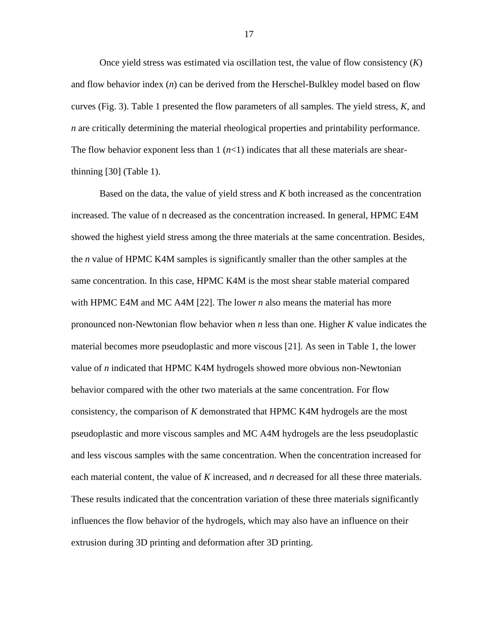Once yield stress was estimated via oscillation test, the value of flow consistency (*K*) and flow behavior index (*n*) can be derived from the Herschel-Bulkley model based on flow curves (Fig. 3). Table 1 presented the flow parameters of all samples. The yield stress, *K*, and *n* are critically determining the material rheological properties and printability performance. The flow behavior exponent less than  $1$   $(n<1)$  indicates that all these materials are shearthinning [30] (Table 1).

Based on the data, the value of yield stress and *K* both increased as the concentration increased. The value of n decreased as the concentration increased. In general, HPMC E4M showed the highest yield stress among the three materials at the same concentration. Besides, the *n* value of HPMC K4M samples is significantly smaller than the other samples at the same concentration. In this case, HPMC K4M is the most shear stable material compared with HPMC E4M and MC A4M [22]. The lower *n* also means the material has more pronounced non-Newtonian flow behavior when *n* less than one. Higher *K* value indicates the material becomes more pseudoplastic and more viscous [21]. As seen in Table 1, the lower value of *n* indicated that HPMC K4M hydrogels showed more obvious non-Newtonian behavior compared with the other two materials at the same concentration. For flow consistency, the comparison of *K* demonstrated that HPMC K4M hydrogels are the most pseudoplastic and more viscous samples and MC A4M hydrogels are the less pseudoplastic and less viscous samples with the same concentration. When the concentration increased for each material content, the value of *K* increased, and *n* decreased for all these three materials. These results indicated that the concentration variation of these three materials significantly influences the flow behavior of the hydrogels, which may also have an influence on their extrusion during 3D printing and deformation after 3D printing.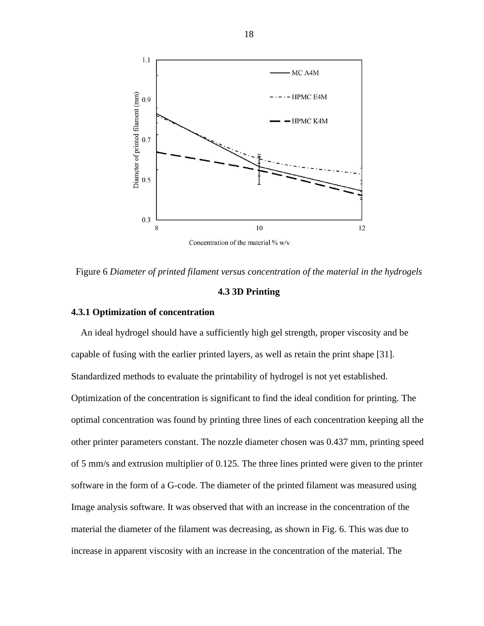

<span id="page-26-2"></span><span id="page-26-0"></span>Figure 6 *Diameter of printed filament versus concentration of the material in the hydrogels*

### **4.3 3D Printing**

## <span id="page-26-1"></span>**4.3.1 Optimization of concentration**

An ideal hydrogel should have a sufficiently high gel strength, proper viscosity and be capable of fusing with the earlier printed layers, as well as retain the print shape [31]. Standardized methods to evaluate the printability of hydrogel is not yet established. Optimization of the concentration is significant to find the ideal condition for printing. The optimal concentration was found by printing three lines of each concentration keeping all the other printer parameters constant. The nozzle diameter chosen was 0.437 mm, printing speed of 5 mm/s and extrusion multiplier of 0.125. The three lines printed were given to the printer software in the form of a G-code. The diameter of the printed filament was measured using Image analysis software. It was observed that with an increase in the concentration of the material the diameter of the filament was decreasing, as shown in Fig. 6. This was due to increase in apparent viscosity with an increase in the concentration of the material. The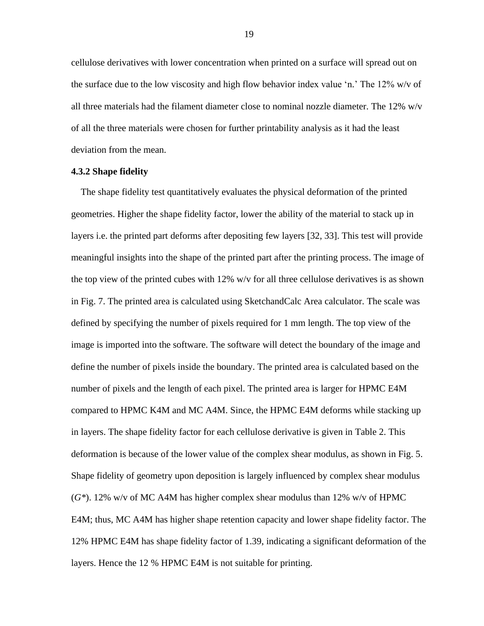cellulose derivatives with lower concentration when printed on a surface will spread out on the surface due to the low viscosity and high flow behavior index value 'n.' The 12% w/v of all three materials had the filament diameter close to nominal nozzle diameter. The  $12\%$  w/v of all the three materials were chosen for further printability analysis as it had the least deviation from the mean.

## <span id="page-27-0"></span>**4.3.2 Shape fidelity**

The shape fidelity test quantitatively evaluates the physical deformation of the printed geometries. Higher the shape fidelity factor, lower the ability of the material to stack up in layers i.e. the printed part deforms after depositing few layers [32, 33]. This test will provide meaningful insights into the shape of the printed part after the printing process. The image of the top view of the printed cubes with 12% w/v for all three cellulose derivatives is as shown in Fig. 7. The printed area is calculated using SketchandCalc Area calculator. The scale was defined by specifying the number of pixels required for 1 mm length. The top view of the image is imported into the software. The software will detect the boundary of the image and define the number of pixels inside the boundary. The printed area is calculated based on the number of pixels and the length of each pixel. The printed area is larger for HPMC E4M compared to HPMC K4M and MC A4M. Since, the HPMC E4M deforms while stacking up in layers. The shape fidelity factor for each cellulose derivative is given in Table 2. This deformation is because of the lower value of the complex shear modulus, as shown in Fig. 5. Shape fidelity of geometry upon deposition is largely influenced by complex shear modulus (*G\**). 12% w/v of MC A4M has higher complex shear modulus than 12% w/v of HPMC E4M; thus, MC A4M has higher shape retention capacity and lower shape fidelity factor. The 12% HPMC E4M has shape fidelity factor of 1.39, indicating a significant deformation of the layers. Hence the 12 % HPMC E4M is not suitable for printing.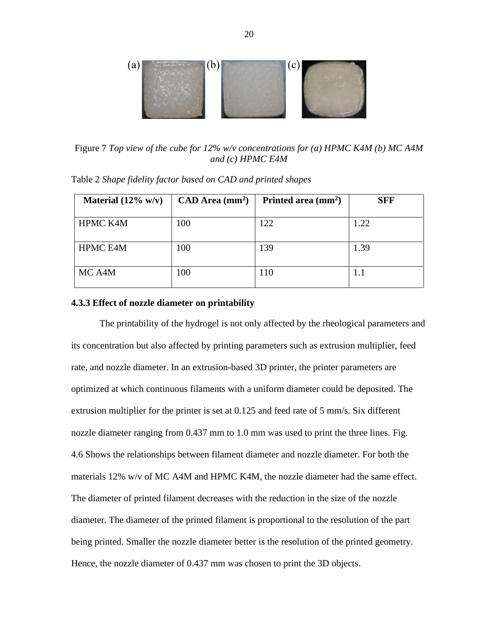

<span id="page-28-1"></span>Figure 7 *Top view of the cube for 12% w/v concentrations for (a) HPMC K4M (b) MC A4M and (c) HPMC E4M*

| Material $(12\% \text{ w/v})$ | $CAD$ Area (mm <sup>2</sup> ) | Printed area $(mm2)$ | <b>SFF</b> |
|-------------------------------|-------------------------------|----------------------|------------|
| <b>HPMC K4M</b>               | 100                           | 122                  | 1.22       |
| <b>HPMC E4M</b>               | 100                           | 139                  | 1.39       |
| MC A4M                        | 100                           | 110                  |            |

<span id="page-28-2"></span>Table 2 *Shape fidelity factor based on CAD and printed shapes*

### <span id="page-28-0"></span>**4.3.3 Effect of nozzle diameter on printability**

The printability of the hydrogel is not only affected by the rheological parameters and its concentration but also affected by printing parameters such as extrusion multiplier, feed rate, and nozzle diameter. In an extrusion-based 3D printer, the printer parameters are optimized at which continuous filaments with a uniform diameter could be deposited. The extrusion multiplier for the printer is set at 0.125 and feed rate of 5 mm/s. Six different nozzle diameter ranging from 0.437 mm to 1.0 mm was used to print the three lines. Fig. 4.6 Shows the relationships between filament diameter and nozzle diameter. For both the materials 12% w/v of MC A4M and HPMC K4M, the nozzle diameter had the same effect. The diameter of printed filament decreases with the reduction in the size of the nozzle diameter. The diameter of the printed filament is proportional to the resolution of the part being printed. Smaller the nozzle diameter better is the resolution of the printed geometry. Hence, the nozzle diameter of 0.437 mm was chosen to print the 3D objects.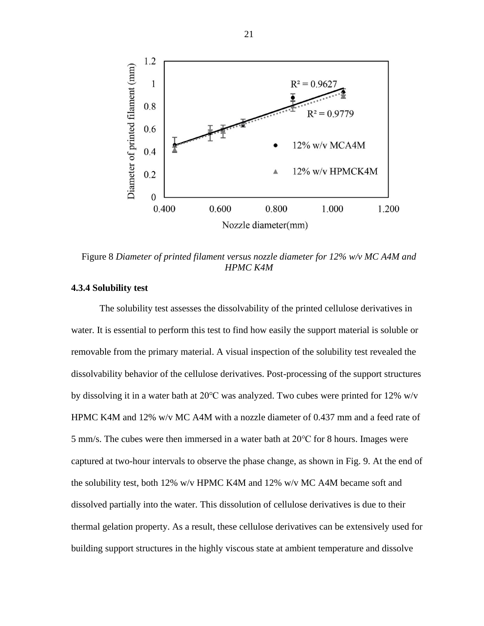

<span id="page-29-1"></span>Figure 8 *Diameter of printed filament versus nozzle diameter for 12% w/v MC A4M and HPMC K4M*

## <span id="page-29-0"></span>**4.3.4 Solubility test**

The solubility test assesses the dissolvability of the printed cellulose derivatives in water. It is essential to perform this test to find how easily the support material is soluble or removable from the primary material. A visual inspection of the solubility test revealed the dissolvability behavior of the cellulose derivatives. Post-processing of the support structures by dissolving it in a water bath at 20℃ was analyzed. Two cubes were printed for 12% w/v HPMC K4M and 12% w/v MC A4M with a nozzle diameter of 0.437 mm and a feed rate of 5 mm/s. The cubes were then immersed in a water bath at 20℃ for 8 hours. Images were captured at two-hour intervals to observe the phase change, as shown in Fig. 9. At the end of the solubility test, both 12% w/v HPMC K4M and 12% w/v MC A4M became soft and dissolved partially into the water. This dissolution of cellulose derivatives is due to their thermal gelation property. As a result, these cellulose derivatives can be extensively used for building support structures in the highly viscous state at ambient temperature and dissolve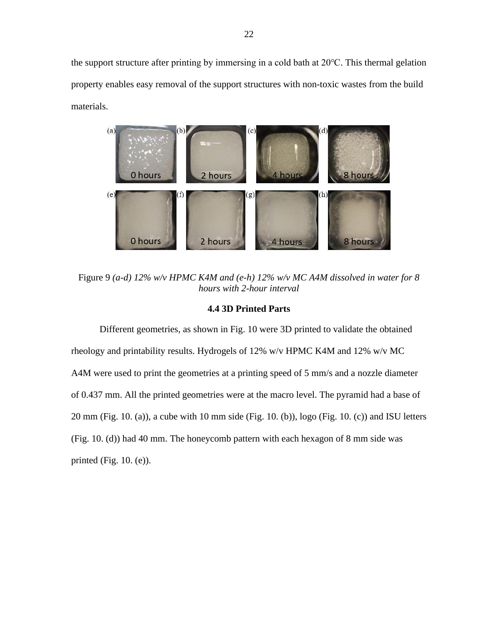the support structure after printing by immersing in a cold bath at 20℃. This thermal gelation property enables easy removal of the support structures with non-toxic wastes from the build materials.



<span id="page-30-1"></span>Figure 9 *(a-d) 12% w/v HPMC K4M and (e-h) 12% w/v MC A4M dissolved in water for 8 hours with 2-hour interval*

# **4.4 3D Printed Parts**

<span id="page-30-0"></span>Different geometries, as shown in Fig. 10 were 3D printed to validate the obtained rheology and printability results. Hydrogels of 12% w/v HPMC K4M and 12% w/v MC A4M were used to print the geometries at a printing speed of 5 mm/s and a nozzle diameter of 0.437 mm. All the printed geometries were at the macro level. The pyramid had a base of 20 mm (Fig. 10. (a)), a cube with 10 mm side (Fig. 10. (b)), logo (Fig. 10. (c)) and ISU letters (Fig. 10. (d)) had 40 mm. The honeycomb pattern with each hexagon of 8 mm side was printed (Fig. 10. (e)).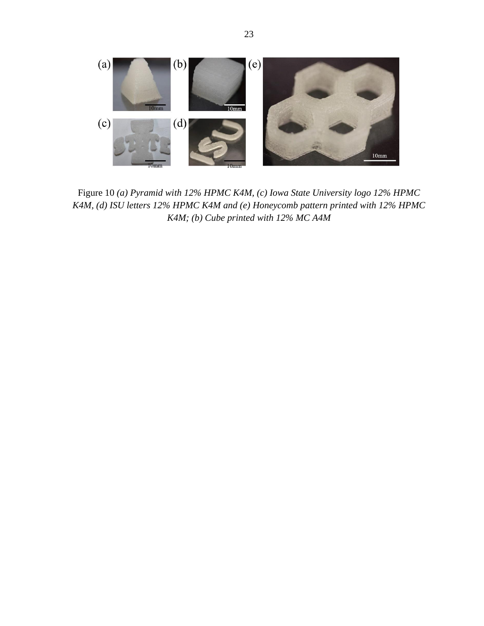<span id="page-31-0"></span>

Figure 10 *(a) Pyramid with 12% HPMC K4M, (c) Iowa State University logo 12% HPMC K4M, (d) ISU letters 12% HPMC K4M and (e) Honeycomb pattern printed with 12% HPMC K4M; (b) Cube printed with 12% MC A4M*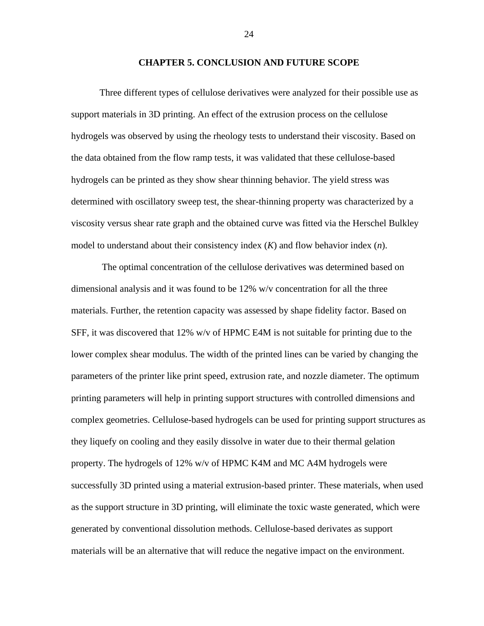#### **CHAPTER 5. CONCLUSION AND FUTURE SCOPE**

<span id="page-32-0"></span>Three different types of cellulose derivatives were analyzed for their possible use as support materials in 3D printing. An effect of the extrusion process on the cellulose hydrogels was observed by using the rheology tests to understand their viscosity. Based on the data obtained from the flow ramp tests, it was validated that these cellulose-based hydrogels can be printed as they show shear thinning behavior. The yield stress was determined with oscillatory sweep test, the shear-thinning property was characterized by a viscosity versus shear rate graph and the obtained curve was fitted via the Herschel Bulkley model to understand about their consistency index (*K*) and flow behavior index (*n*).

The optimal concentration of the cellulose derivatives was determined based on dimensional analysis and it was found to be 12% w/v concentration for all the three materials. Further, the retention capacity was assessed by shape fidelity factor. Based on SFF, it was discovered that 12% w/v of HPMC E4M is not suitable for printing due to the lower complex shear modulus. The width of the printed lines can be varied by changing the parameters of the printer like print speed, extrusion rate, and nozzle diameter. The optimum printing parameters will help in printing support structures with controlled dimensions and complex geometries. Cellulose-based hydrogels can be used for printing support structures as they liquefy on cooling and they easily dissolve in water due to their thermal gelation property. The hydrogels of 12% w/v of HPMC K4M and MC A4M hydrogels were successfully 3D printed using a material extrusion-based printer. These materials, when used as the support structure in 3D printing, will eliminate the toxic waste generated, which were generated by conventional dissolution methods. Cellulose-based derivates as support materials will be an alternative that will reduce the negative impact on the environment.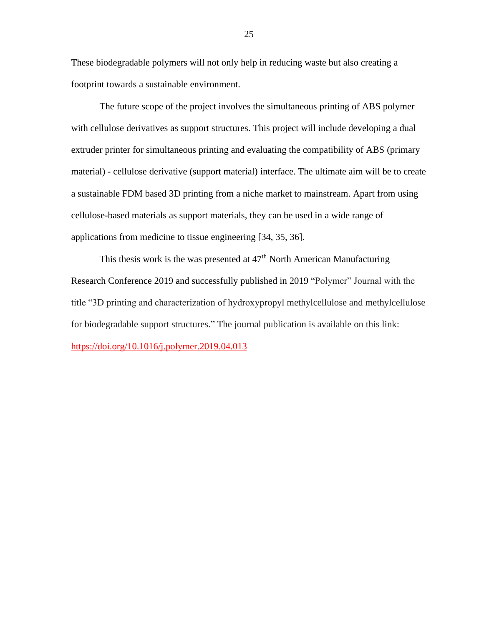These biodegradable polymers will not only help in reducing waste but also creating a footprint towards a sustainable environment.

The future scope of the project involves the simultaneous printing of ABS polymer with cellulose derivatives as support structures. This project will include developing a dual extruder printer for simultaneous printing and evaluating the compatibility of ABS (primary material) - cellulose derivative (support material) interface. The ultimate aim will be to create a sustainable FDM based 3D printing from a niche market to mainstream. Apart from using cellulose-based materials as support materials, they can be used in a wide range of applications from medicine to tissue engineering [34, 35, 36].

This thesis work is the was presented at  $47<sup>th</sup>$  North American Manufacturing Research Conference 2019 and successfully published in 2019 "Polymer" Journal with the title "3D printing and characterization of hydroxypropyl methylcellulose and methylcellulose for biodegradable support structures." The journal publication is available on this link: <https://doi.org/10.1016/j.polymer.2019.04.013>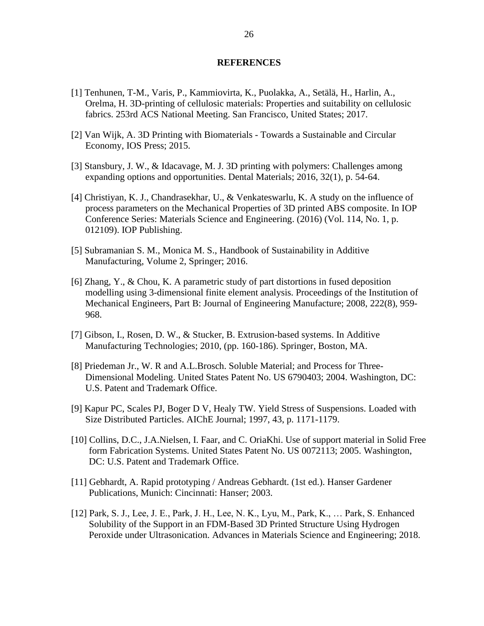## **REFERENCES**

- <span id="page-34-0"></span>[1] Tenhunen, T-M., Varis, P., Kammiovirta, K., Puolakka, A., Setälä, H., Harlin, A., Orelma, H. 3D-printing of cellulosic materials: Properties and suitability on cellulosic fabrics. 253rd ACS National Meeting. San Francisco, United States; 2017.
- [2] Van Wijk, A. 3D Printing with Biomaterials Towards a Sustainable and Circular Economy, IOS Press; 2015.
- [3] Stansbury, J. W., & Idacavage, M. J. 3D printing with polymers: Challenges among expanding options and opportunities. Dental Materials; 2016, 32(1), p. 54-64.
- [4] Christiyan, K. J., Chandrasekhar, U., & Venkateswarlu, K. A study on the influence of process parameters on the Mechanical Properties of 3D printed ABS composite. In IOP Conference Series: Materials Science and Engineering. (2016) (Vol. 114, No. 1, p. 012109). IOP Publishing.
- [5] Subramanian S. M., Monica M. S., Handbook of Sustainability in Additive Manufacturing, Volume 2, Springer; 2016.
- [6] Zhang, Y., & Chou, K. A parametric study of part distortions in fused deposition modelling using 3-dimensional finite element analysis. Proceedings of the Institution of Mechanical Engineers, Part B: Journal of Engineering Manufacture; 2008, 222(8), 959- 968.
- [7] Gibson, I., Rosen, D. W., & Stucker, B. Extrusion-based systems. In Additive Manufacturing Technologies; 2010, (pp. 160-186). Springer, Boston, MA.
- [8] Priedeman Jr., W. R and A.L.Brosch. Soluble Material; and Process for Three-Dimensional Modeling. United States Patent No. US 6790403; 2004. Washington, DC: U.S. Patent and Trademark Office.
- [9] Kapur PC, Scales PJ, Boger D V, Healy TW. Yield Stress of Suspensions. Loaded with Size Distributed Particles. AIChE Journal; 1997, 43, p. 1171-1179.
- [10] Collins, D.C., J.A.Nielsen, I. Faar, and C. OriaKhi. Use of support material in Solid Free form Fabrication Systems. United States Patent No. US 0072113; 2005. Washington, DC: U.S. Patent and Trademark Office.
- [11] Gebhardt, A. Rapid prototyping / Andreas Gebhardt. (1st ed.). Hanser Gardener Publications, Munich: Cincinnati: Hanser; 2003.
- [12] Park, S. J., Lee, J. E., Park, J. H., Lee, N. K., Lyu, M., Park, K., … Park, S. Enhanced Solubility of the Support in an FDM-Based 3D Printed Structure Using Hydrogen Peroxide under Ultrasonication. Advances in Materials Science and Engineering; 2018.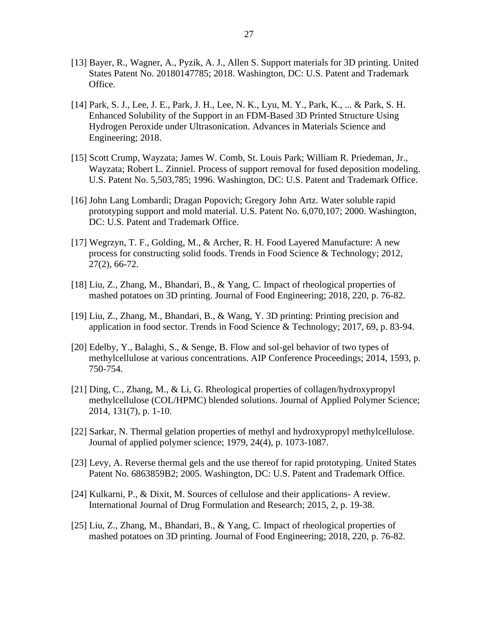- [13] Bayer, R., Wagner, A., Pyzik, A. J., Allen S. Support materials for 3D printing. United States Patent No. 20180147785; 2018. Washington, DC: U.S. Patent and Trademark Office.
- [14] Park, S. J., Lee, J. E., Park, J. H., Lee, N. K., Lyu, M. Y., Park, K., ... & Park, S. H. Enhanced Solubility of the Support in an FDM-Based 3D Printed Structure Using Hydrogen Peroxide under Ultrasonication. Advances in Materials Science and Engineering; 2018.
- [15] Scott Crump, Wayzata; James W. Comb, St. Louis Park; William R. Priedeman, Jr., Wayzata; Robert L. Zinniel. Process of support removal for fused deposition modeling. U.S. Patent No. 5,503,785; 1996. Washington, DC: U.S. Patent and Trademark Office.
- [16] John Lang Lombardi; Dragan Popovich; Gregory John Artz. Water soluble rapid prototyping support and mold material. U.S. Patent No. 6,070,107; 2000. Washington, DC: U.S. Patent and Trademark Office.
- [17] Wegrzyn, T. F., Golding, M., & Archer, R. H. Food Layered Manufacture: A new process for constructing solid foods. Trends in Food Science & Technology; 2012, 27(2), 66-72.
- [18] Liu, Z., Zhang, M., Bhandari, B., & Yang, C. Impact of rheological properties of mashed potatoes on 3D printing. Journal of Food Engineering; 2018, 220, p. 76-82.
- [19] Liu, Z., Zhang, M., Bhandari, B., & Wang, Y. 3D printing: Printing precision and application in food sector. Trends in Food Science & Technology; 2017, 69, p. 83-94.
- [20] Edelby, Y., Balaghi, S., & Senge, B. Flow and sol-gel behavior of two types of methylcellulose at various concentrations. AIP Conference Proceedings; 2014, 1593, p. 750-754.
- [21] Ding, C., Zhang, M., & Li, G. Rheological properties of collagen/hydroxypropyl methylcellulose (COL/HPMC) blended solutions. Journal of Applied Polymer Science; 2014, 131(7), p. 1-10.
- [22] Sarkar, N. Thermal gelation properties of methyl and hydroxypropyl methylcellulose. Journal of applied polymer science; 1979, 24(4), p. 1073-1087.
- [23] Levy, A. Reverse thermal gels and the use thereof for rapid prototyping. United States Patent No. 6863859B2; 2005. Washington, DC: U.S. Patent and Trademark Office.
- [24] Kulkarni, P., & Dixit, M. Sources of cellulose and their applications- A review. International Journal of Drug Formulation and Research; 2015, 2, p. 19-38.
- [25] Liu, Z., Zhang, M., Bhandari, B., & Yang, C. Impact of rheological properties of mashed potatoes on 3D printing. Journal of Food Engineering; 2018, 220, p. 76-82.